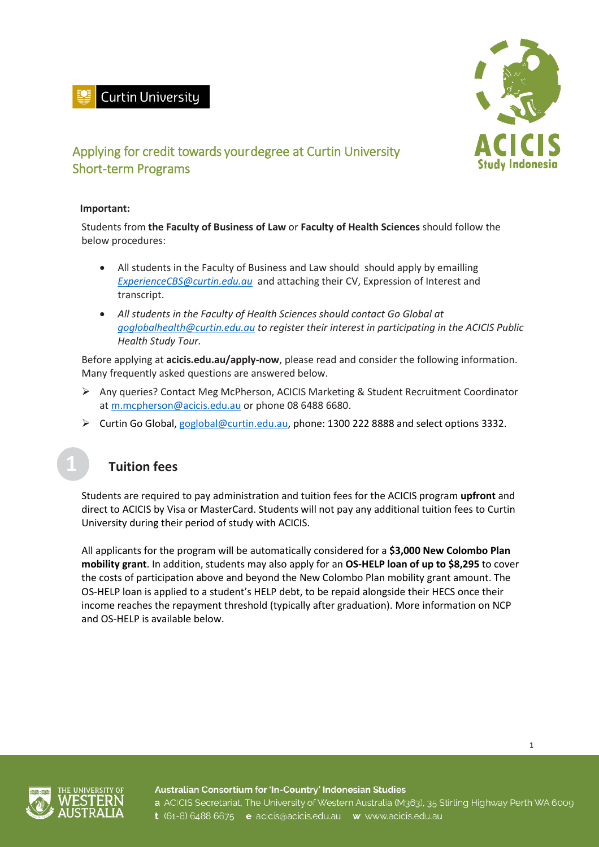



## Applying for credit towards your degree at Curtin University Short-term Programs

 $\overline{\phantom{a}}$ 

#### **Important:**

Students from **the Faculty of Business of Law** or **Faculty of Health Sciences** should follow the below procedures:

- All students in the Faculty of Business and Law should should apply by emailling *ExperienceCBS@curtin.edu.au* and attaching their CV, Expression of Interest and transcript.
- *All students in the Faculty of Health Sciences should contact Go Global at [goglobalhealth@curtin.edu.au](mailto:goglobalhealth@curtin.edu.au) to register their interest in participating in the ACICIS Public Health Study Tour.*

Before applying at **[acicis.edu.au/apply-now](http://acicis.edu.au/apply-now)**, please read and consider the following information. Many frequently asked questions are answered below.

- Any queries? Contact Meg McPherson, ACICIS Marketing & Student Recruitment Coordinator at [m.mcpherson@acicis.edu.au](mailto:m.mcpherson@acicis.edu.au) or phone 08 6488 6680.
- ▶ Curtin Go Global, [goglobal@curtin.edu.au,](mailto:goglobal@curtin.edu.au) phone: 1300 222 8888 and select options 3332.

#### **Tuition fees**

Students are required to pay administration and tuition fees for the ACICIS program **upfront** and direct to ACICIS by Visa or MasterCard. Students will not pay any additional tuition fees to Curtin University during their period of study with ACICIS.

All applicants for the program will be automatically considered for a **\$3,000 New Colombo Plan mobility grant**. In addition, students may also apply for an **OS-HELP loan of up to \$8,295** to cover the costs of participation above and beyond the New Colombo Plan mobility grant amount. The OS-HELP loan is applied to a student's HELP debt, to be repaid alongside their HECS once their income reaches the repayment threshold (typically after graduation). More information on NCP and OS-HELP is available below.





Australian Consortium for 'In-Country' Indonesian Studies a ACICIS Secretariat, The University of Western Australia (M363), 35 Stirling Highway Perth WA 6009 t (61-8) 6488 6675 e acicis@acicis.edu.au w www.acicis.edu.au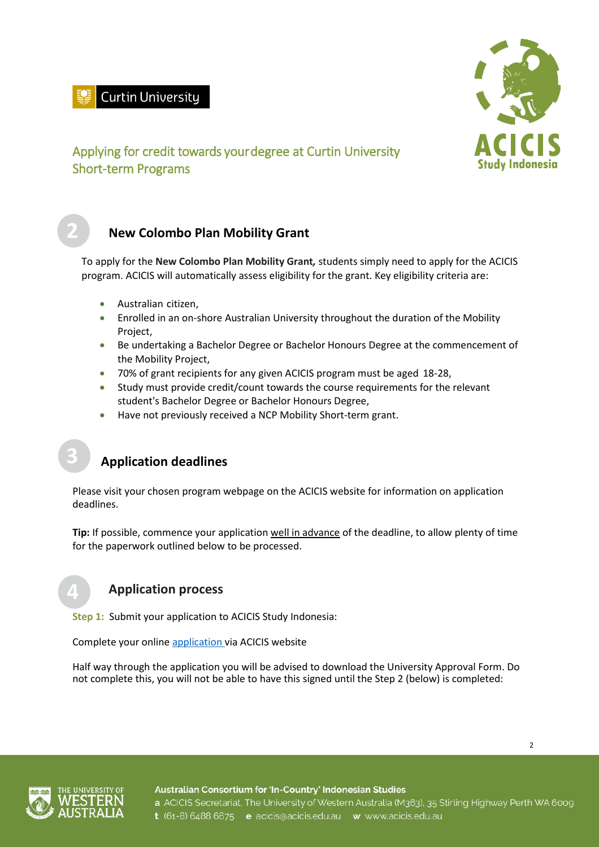# **Curtin University**



### Applying for credit towards your degree at Curtin University Short-term Programs

### **New Colombo Plan Mobility Grant**

 $\overline{\phantom{a}}$ 

To apply for the **New Colombo Plan Mobility Grant***,* students simply need to apply for the ACICIS program. ACICIS will automatically assess eligibility for the grant. Key eligibility criteria are:

- Australian citizen,
- Enrolled in an on-shore Australian University throughout the duration of the Mobility Project,
- Be undertaking a Bachelor Degree or Bachelor Honours Degree at the commencement of the Mobility Project,
- 70% of grant recipients for any given ACICIS program must be aged 18-28,
- Study must provide credit/count towards the course requirements for the relevant student's Bachelor Degree or Bachelor Honours Degree,
- Have not previously received a NCP Mobility Short-term grant.

### **Application deadlines**

Please visit your chosen program webpage on the ACICIS website for information on application deadlines.

**Tip:** If possible, commence your application well in advance of the deadline, to allow plenty of time for the paperwork outlined below to be processed.

#### **Application process**

**Step 1:** Submit your application to ACICIS Study Indonesia:

Complete your online [application v](http://www.acicis.edu.au/apply-now/)ia ACICIS website

Half way through the application you will be advised to download the University Approval Form. Do not complete this, you will not be able to have this signed until the Step 2 (below) is completed:

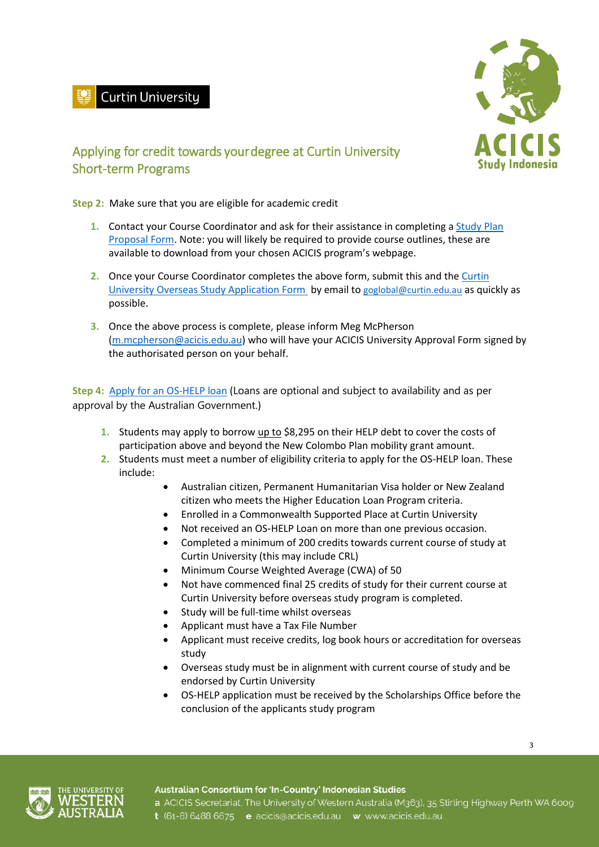# Curtin University



## Applying for credit towards your degree at Curtin University Short-term Programs

**Step 2:** Make sure that you are eligible for academic credit

 $\overline{\phantom{a}}$ 

- **1.** Contact your Course Coordinator and ask for their assistance in completing a [Study Plan](https://students.curtin.edu.au/wp-content/uploads/sites/6/2018/12/Curtin-Abroad-study-plan-proposal-form.pdf)  [Proposal Form.](https://students.curtin.edu.au/wp-content/uploads/sites/6/2018/12/Curtin-Abroad-study-plan-proposal-form.pdf) Note: you will likely be required to provide course outlines, these are available to download from your chosen ACICIS program's webpage.
- **2.** Once your Course Coordinator completes the above form, submit this and the [Curtin](https://students.curtin.edu.au/wp-content/uploads/sites/6/2018/12/Curtin-Overseas-Study-Application-Form.pdf)  [University Overseas Study Application Form](https://students.curtin.edu.au/wp-content/uploads/sites/6/2018/12/Curtin-Overseas-Study-Application-Form.pdf) by email to [goglobal@curtin.edu.au](mailto:goglobal@curtin.edu.au) as quickly as possible.
- **3.** Once the above process is complete, please inform Meg McPherson [\(m.mcpherson@acicis.edu.au\)](mailto:m.mcpherson@acicis.edu.au) who will have your ACICIS University Approval Form signed by the authorisated person on your behalf.

Step 4: [Apply for an OS-HELP](https://scholarships.curtin.edu.au/scholarship/?id=3660.0) loan (Loans are optional and subject to availability and as per approval by the Australian Government.)

- **1.** Students may apply to borrow up to \$8,295 on their HELP debt to cover the costs of participation above and beyond the New Colombo Plan mobility grant amount.
- **2.** Students must meet a number of eligibility criteria to apply for the OS-HELP loan. These include:
	- Australian citizen, Permanent Humanitarian Visa holder or New Zealand citizen who meets the Higher Education Loan Program criteria.
	- Enrolled in a Commonwealth Supported Place at Curtin University
	- Not received an OS‑HELP Loan on more than one previous occasion.
	- Completed a minimum of 200 credits towards current course of study at Curtin University (this may include CRL)
	- Minimum Course Weighted Average (CWA) of 50
	- Not have commenced final 25 credits of study for their current course at Curtin University before overseas study program is completed.
	- Study will be full-time whilst overseas
	- Applicant must have a Tax File Number
	- Applicant must receive credits, log book hours or accreditation for overseas study
	- Overseas study must be in alignment with current course of study and be endorsed by Curtin University
	- OS-HELP application must be received by the Scholarships Office before the conclusion of the applicants study program